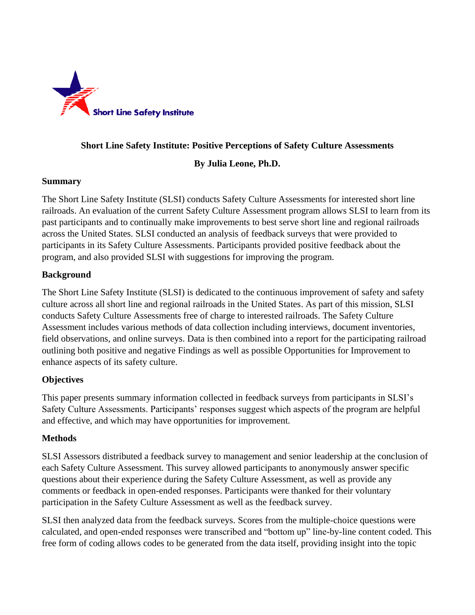

### **Short Line Safety Institute: Positive Perceptions of Safety Culture Assessments**

#### **By Julia Leone, Ph.D.**

#### **Summary**

The Short Line Safety Institute (SLSI) conducts Safety Culture Assessments for interested short line railroads. An evaluation of the current Safety Culture Assessment program allows SLSI to learn from its past participants and to continually make improvements to best serve short line and regional railroads across the United States. SLSI conducted an analysis of feedback surveys that were provided to participants in its Safety Culture Assessments. Participants provided positive feedback about the program, and also provided SLSI with suggestions for improving the program.

## **Background**

The Short Line Safety Institute (SLSI) is dedicated to the continuous improvement of safety and safety culture across all short line and regional railroads in the United States. As part of this mission, SLSI conducts Safety Culture Assessments free of charge to interested railroads. The Safety Culture Assessment includes various methods of data collection including interviews, document inventories, field observations, and online surveys. Data is then combined into a report for the participating railroad outlining both positive and negative Findings as well as possible Opportunities for Improvement to enhance aspects of its safety culture.

#### **Objectives**

This paper presents summary information collected in feedback surveys from participants in SLSI's Safety Culture Assessments. Participants' responses suggest which aspects of the program are helpful and effective, and which may have opportunities for improvement.

#### **Methods**

SLSI Assessors distributed a feedback survey to management and senior leadership at the conclusion of each Safety Culture Assessment. This survey allowed participants to anonymously answer specific questions about their experience during the Safety Culture Assessment, as well as provide any comments or feedback in open-ended responses. Participants were thanked for their voluntary participation in the Safety Culture Assessment as well as the feedback survey.

SLSI then analyzed data from the feedback surveys. Scores from the multiple-choice questions were calculated, and open-ended responses were transcribed and "bottom up" line-by-line content coded. This free form of coding allows codes to be generated from the data itself, providing insight into the topic